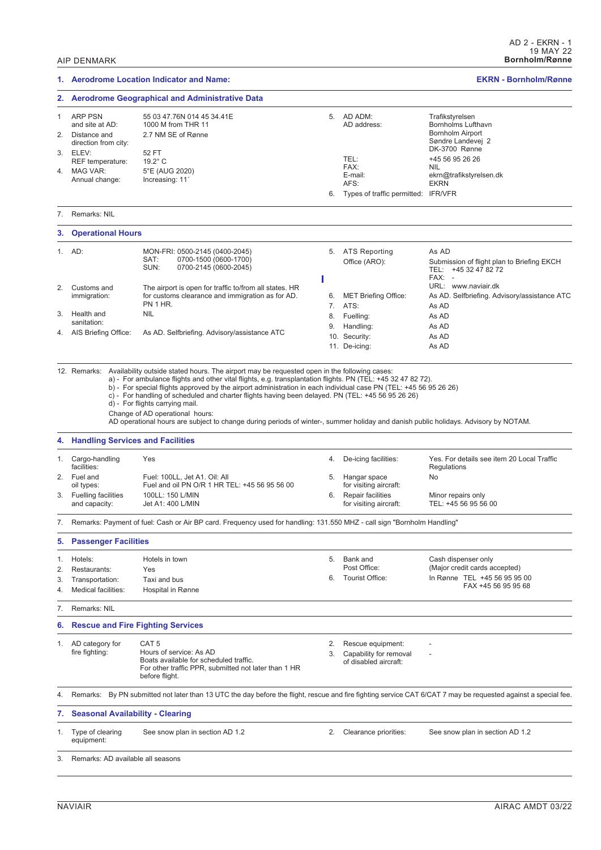### **1. Aerodrome Location Indicator and Name: EKRN - Bornholm/Rønne 2. Aerodrome Geographical and Administrative Data** 1 ARP PSN 55 03 47.76N 014 45 34.41E<br>and site at AD: 1000 M from THR 11 5. AD ADM: Trafikstyrelsen 1000 M from THR 11 Bornholms Lufthavn Bornholm Airport 2. Distance and 2.7 NM SE of Rønne Søndre Landevej 2 direction from city: DK-3700 Rønne 3. ELEV:  $52 FT$ <br>RFF temperature:  $19.2^{\circ} C$ TEL:<br>FAX: +45 56 95 26 26 REF temperature: FAX:<br>E-mail: 4. MAG VAR: 5°E (AUG 2020) E-mail: ekrn@trafikstyrelsen.dk<br>AFS: EKRN Annual change: Increasing: 11^ **EKRN** 6. Types of traffic permitted: IFR/VFR 7. Remarks: NIL **3. Operational Hours** 1. AD: MON-FRI: 0500-2145 (0400-2045)<br>SAT: 0700-1500 (0600-1700) 5. ATS Reporting As AD SAT: 0700-1500 (0600-1700)<br>SUN: 0700-2145 (0600-2045) Office (ARO): Submission of flight plan to Briefing EKCH 0700-2145 (0600-2045) TEL: +45 32 47 82 72  $FAX$ Т URL: www.naviair.dk 2. Customs and The airport is open for traffic to/from all states. HR 6. MET Briefing Office: As AD. Selfbriefing. Advisory/assistance ATC immigration: for customs clearance and immigration as for AD. PN 1 HR. 7. ATS: As AD 3. Health and NIL 8. Fuelling: As AD sanitation: 9. Handling: As AD 4. AIS Briefing Office: As AD. Selfbriefing. Advisory/assistance ATC 10. Security: As AD 11. De-icing: As AD 12. Remarks: Availability outside stated hours. The airport may be requested open in the following cases: a) - For ambulance flights and other vital flights, e.g. transplantation flights. PN (TEL: +45 32 47 82 72). b) - For special flights approved by the airport administration in each individual case PN (TEL: +45 56 95 26 26) c) - For handling of scheduled and charter flights having been delayed. PN (TEL: +45 56 95 26 26) d) - For flights carrying mail. Change of AD operational hours: AD operational hours are subject to change during periods of winter-, summer holiday and danish public holidays. Advisory by NOTAM. **4. Handling Services and Facilities** 1. Cargo-handling Yes 4. De-icing facilities: Yes. For details see item 20 Local Traffic facilities: Regulations 2. Fuel and Fuel: 100LL, Jet A1. Oil: All 5. Hangar space No oil types: Fuel and oil PN O/R 1 HR TEL: +45 56 95 56 00 for visiting aircraft: 6. Repair facilities Minor repairs only<br>for visiting aircraft: TEL: +45 56 95 56 3. Fuelling facilities 100LL: 150 L/MIN<br>and capacity: Jet A1: 400 L/MIN Jet A1: 400 L/MIN TEL: +45 56 95 56 00 7. Remarks: Payment of fuel: Cash or Air BP card. Frequency used for handling: 131.550 MHZ - call sign "Bornholm Handling" **5. Passenger Facilities** 1. Hotels: Hotels in town 5. Bank and Cash dispenser only<br>Post Office: (Maior credit cards a (Major credit cards accepted) 2. Restaurants: Yes 6. Tourist Office: In Rønne TEL +45 56 95 95 00 3. Transportation: Taxi and bus FAX +45 56 95 95 68 4. Medical facilities: Hospital in Rønne 7. Remarks: NIL **6. Rescue and Fire Fighting Services** 1. AD category for CAT 5 2. Rescue equipment: fire fighting: Hours of service: As AD 3. Capability for removal Boats available for scheduled traffic. of disabled aircraft: For other traffic PPR, submitted not later than 1 HR before flight. 4. Remarks: By PN submitted not later than 13 UTC the day before the flight, rescue and fire fighting service CAT 6/CAT 7 may be requested against a special fee. **7. Seasonal Availability - Clearing** 1. Type of clearing See snow plan in section AD 1.2 2. Clearance priorities: See snow plan in section AD 1.2 equipment: 3. Remarks: AD available all seasons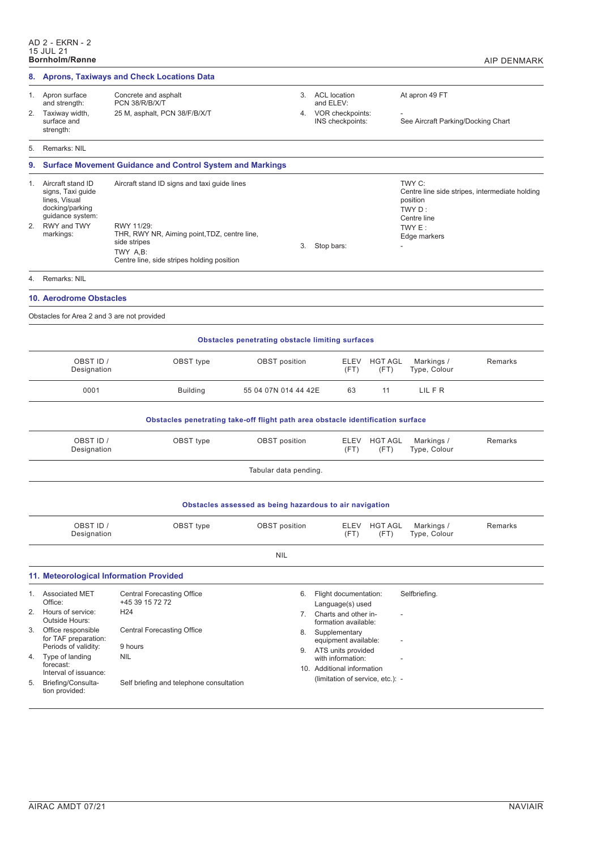| 8.                                                      |                                                                                                                            | <b>Aprons, Taxiways and Check Locations Data</b>                                                                                                                                     |                      |                                                               |                        |                                                                       |                                                |  |  |
|---------------------------------------------------------|----------------------------------------------------------------------------------------------------------------------------|--------------------------------------------------------------------------------------------------------------------------------------------------------------------------------------|----------------------|---------------------------------------------------------------|------------------------|-----------------------------------------------------------------------|------------------------------------------------|--|--|
|                                                         | 1. Apron surface<br>and strength:                                                                                          | 3. ACL location<br>Concrete and asphalt<br>PCN 38/R/B/X/T<br>and ELEV:                                                                                                               |                      |                                                               | At apron 49 FT         |                                                                       |                                                |  |  |
| 2.                                                      | Taxiway width,<br>surface and<br>strength:                                                                                 | 25 M, asphalt, PCN 38/F/B/X/T                                                                                                                                                        | 4.                   | VOR checkpoints:<br>INS checkpoints:                          |                        | See Aircraft Parking/Docking Chart                                    |                                                |  |  |
| 5.                                                      | Remarks: NIL                                                                                                               |                                                                                                                                                                                      |                      |                                                               |                        |                                                                       |                                                |  |  |
| 9.                                                      |                                                                                                                            | <b>Surface Movement Guidance and Control System and Markings</b>                                                                                                                     |                      |                                                               |                        |                                                                       |                                                |  |  |
| 1.<br>2.                                                | Aircraft stand ID<br>signs, Taxi guide<br>lines, Visual<br>docking/parking<br>guidance system:<br>RWY and TWY<br>markings: | Aircraft stand ID signs and taxi guide lines<br>RWY 11/29:<br>THR, RWY NR, Aiming point, TDZ, centre line,<br>side stripes<br>TWY A,B:<br>Centre line, side stripes holding position | 3.                   | Stop bars:                                                    |                        | TWY C:<br>position<br>TWY D:<br>Centre line<br>TWY E:<br>Edge markers | Centre line side stripes, intermediate holding |  |  |
| 4.                                                      | Remarks: NIL                                                                                                               |                                                                                                                                                                                      |                      |                                                               |                        |                                                                       |                                                |  |  |
|                                                         | <b>10. Aerodrome Obstacles</b>                                                                                             |                                                                                                                                                                                      |                      |                                                               |                        |                                                                       |                                                |  |  |
|                                                         | Obstacles for Area 2 and 3 are not provided                                                                                |                                                                                                                                                                                      |                      |                                                               |                        |                                                                       |                                                |  |  |
|                                                         | <b>Obstacles penetrating obstacle limiting surfaces</b>                                                                    |                                                                                                                                                                                      |                      |                                                               |                        |                                                                       |                                                |  |  |
|                                                         | OBST ID /<br>Designation                                                                                                   | OBST type                                                                                                                                                                            | <b>OBST</b> position | ELEV<br>(FT)                                                  | <b>HGT AGL</b><br>(FT) | Markings /<br>Type, Colour                                            | Remarks                                        |  |  |
|                                                         | 0001                                                                                                                       | <b>Building</b>                                                                                                                                                                      | 55 04 07N 014 44 42E | 63                                                            | 11                     | LIL F R                                                               |                                                |  |  |
|                                                         |                                                                                                                            | Obstacles penetrating take-off flight path area obstacle identification surface                                                                                                      |                      |                                                               |                        |                                                                       |                                                |  |  |
|                                                         | OBST ID /<br>Designation                                                                                                   | OBST type                                                                                                                                                                            | <b>OBST</b> position | ELEV<br>(FT)                                                  | <b>HGT AGL</b><br>(FT) | Markings /<br>Type, Colour                                            | Remarks                                        |  |  |
|                                                         | Tabular data pending.                                                                                                      |                                                                                                                                                                                      |                      |                                                               |                        |                                                                       |                                                |  |  |
| Obstacles assessed as being hazardous to air navigation |                                                                                                                            |                                                                                                                                                                                      |                      |                                                               |                        |                                                                       |                                                |  |  |
|                                                         | OBST ID /<br>Designation                                                                                                   | OBST type                                                                                                                                                                            | <b>OBST</b> position | ELEV<br>(FT)                                                  | <b>HGT AGL</b><br>(FT) | Markings /<br>Type, Colour                                            | Remarks                                        |  |  |
|                                                         |                                                                                                                            |                                                                                                                                                                                      | <b>NIL</b>           |                                                               |                        |                                                                       |                                                |  |  |
|                                                         | 11. Meteorological Information Provided                                                                                    |                                                                                                                                                                                      |                      |                                                               |                        |                                                                       |                                                |  |  |
|                                                         | 1. Associated MET                                                                                                          | <b>Central Forecasting Office</b>                                                                                                                                                    | 6.                   | Flight documentation:                                         |                        | Selfbriefing.                                                         |                                                |  |  |
| 2.                                                      | Office:<br>Hours of service:                                                                                               | +45 39 15 72 72<br>H <sub>24</sub>                                                                                                                                                   | 7.                   | Language(s) used<br>Charts and other in-                      |                        |                                                                       |                                                |  |  |
| 3.                                                      | Outside Hours:<br>Office responsible<br>for TAF preparation:                                                               | <b>Central Forecasting Office</b>                                                                                                                                                    | 8.                   | formation available:<br>Supplementary<br>equipment available: |                        |                                                                       |                                                |  |  |
| 4.                                                      | Periods of validity:<br>Type of landing                                                                                    | 9 hours<br><b>NIL</b>                                                                                                                                                                |                      | 9. ATS units provided<br>with information:                    |                        |                                                                       |                                                |  |  |
|                                                         | forecast:<br>Interval of issuance:                                                                                         |                                                                                                                                                                                      |                      | 10. Additional information                                    |                        |                                                                       |                                                |  |  |
| 5.                                                      | Briefing/Consulta-<br>tion provided:                                                                                       | Self briefing and telephone consultation                                                                                                                                             |                      | (limitation of service, etc.): -                              |                        |                                                                       |                                                |  |  |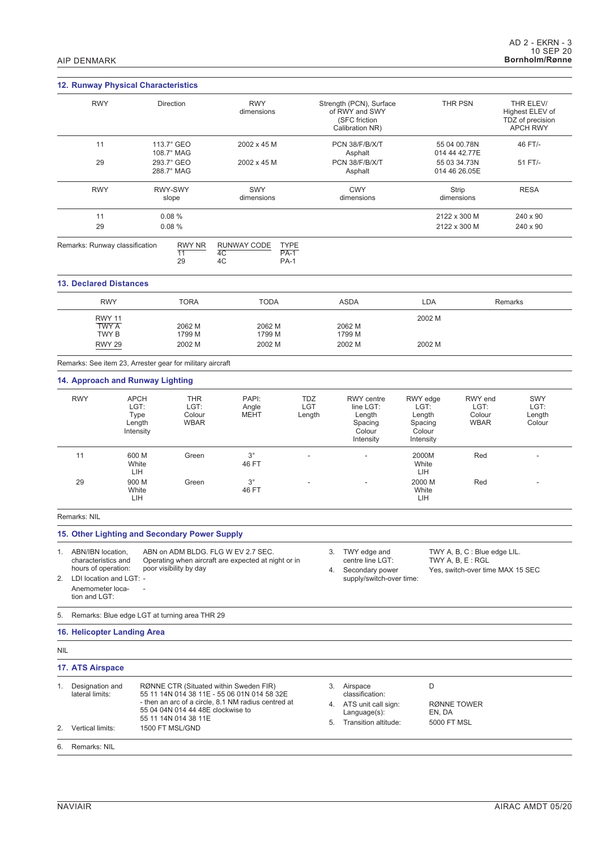|                                                                                                                                          | 12. Runway Physical Characteristics                       |                                                                                                                                                                                                                                                                                                             |                                                                                                                                              |                                      |                                                                                                        |                                                              |                                                |                                                                     |
|------------------------------------------------------------------------------------------------------------------------------------------|-----------------------------------------------------------|-------------------------------------------------------------------------------------------------------------------------------------------------------------------------------------------------------------------------------------------------------------------------------------------------------------|----------------------------------------------------------------------------------------------------------------------------------------------|--------------------------------------|--------------------------------------------------------------------------------------------------------|--------------------------------------------------------------|------------------------------------------------|---------------------------------------------------------------------|
| <b>RWY</b>                                                                                                                               |                                                           | Direction                                                                                                                                                                                                                                                                                                   | <b>RWY</b><br>dimensions                                                                                                                     |                                      | Strength (PCN), Surface<br>of RWY and SWY<br>(SFC friction<br>Calibration NR)                          |                                                              | <b>THR PSN</b>                                 | THR ELEV/<br>Highest ELEV of<br>TDZ of precision<br><b>APCH RWY</b> |
| 11                                                                                                                                       |                                                           | 113.7° GEO                                                                                                                                                                                                                                                                                                  | 2002 x 45 M                                                                                                                                  |                                      | PCN 38/F/B/X/T                                                                                         |                                                              | 55 04 00.78N                                   | 46 FT/-                                                             |
| 29                                                                                                                                       |                                                           | 108.7° MAG<br>293.7° GEO<br>288.7° MAG                                                                                                                                                                                                                                                                      | 2002 x 45 M                                                                                                                                  |                                      | Asphalt<br>PCN 38/F/B/X/T<br>Asphalt                                                                   |                                                              | 014 44 42.77E<br>55 03 34.73N<br>014 46 26.05E | 51 FT/-                                                             |
| <b>RWY</b>                                                                                                                               |                                                           | RWY-SWY<br>slope                                                                                                                                                                                                                                                                                            | SWY<br>dimensions                                                                                                                            |                                      | <b>CWY</b><br>dimensions                                                                               |                                                              | <b>Strip</b><br>dimensions                     | <b>RESA</b>                                                         |
| 11<br>29                                                                                                                                 |                                                           | 0.08%<br>0.08%                                                                                                                                                                                                                                                                                              |                                                                                                                                              |                                      |                                                                                                        |                                                              | 2122 x 300 M<br>2122 x 300 M                   | 240 x 90<br>240 x 90                                                |
|                                                                                                                                          | Remarks: Runway classification                            | <b>RWY NR</b><br>$\overline{11}$<br>29                                                                                                                                                                                                                                                                      | RUNWAY CODE<br>4C<br>4C                                                                                                                      | <b>TYPE</b><br>$PA-1$<br><b>PA-1</b> |                                                                                                        |                                                              |                                                |                                                                     |
| <b>13. Declared Distances</b>                                                                                                            |                                                           |                                                                                                                                                                                                                                                                                                             |                                                                                                                                              |                                      |                                                                                                        |                                                              |                                                |                                                                     |
| <b>RWY</b>                                                                                                                               |                                                           | <b>TORA</b>                                                                                                                                                                                                                                                                                                 | <b>TODA</b>                                                                                                                                  |                                      | <b>ASDA</b>                                                                                            | <b>LDA</b>                                                   |                                                | Remarks                                                             |
| <b>RWY 11</b><br><b>TWY A</b><br>TWY B                                                                                                   |                                                           | 2062 M<br>1799 M                                                                                                                                                                                                                                                                                            | 2062 M<br>1799 M                                                                                                                             |                                      | 2062 M<br>1799 M                                                                                       | 2002 M                                                       |                                                |                                                                     |
| <b>RWY 29</b>                                                                                                                            |                                                           | 2002 M                                                                                                                                                                                                                                                                                                      | 2002 M                                                                                                                                       |                                      | 2002 M                                                                                                 | 2002 M                                                       |                                                |                                                                     |
|                                                                                                                                          | Remarks: See item 23, Arrester gear for military aircraft |                                                                                                                                                                                                                                                                                                             |                                                                                                                                              |                                      |                                                                                                        |                                                              |                                                |                                                                     |
|                                                                                                                                          | 14. Approach and Runway Lighting                          |                                                                                                                                                                                                                                                                                                             |                                                                                                                                              |                                      |                                                                                                        |                                                              |                                                |                                                                     |
| <b>RWY</b>                                                                                                                               | <b>APCH</b><br>LGT:<br>Type<br>Length<br>Intensity        | <b>THR</b><br>LGT:<br>Colour<br><b>WBAR</b>                                                                                                                                                                                                                                                                 | PAPI:<br>Angle<br><b>MEHT</b>                                                                                                                | <b>TDZ</b><br>LGT<br>Length          | <b>RWY</b> centre<br>line LGT:<br>Length<br>Spacing<br>Colour<br>Intensity                             | RWY edge<br>LGT:<br>Length<br>Spacing<br>Colour<br>Intensity | RWY end<br>LGT:<br>Colour<br><b>WBAR</b>       | <b>SWY</b><br>LGT:<br>Length<br>Colour                              |
| 11                                                                                                                                       | 600 M<br>White<br>LIH                                     | Green                                                                                                                                                                                                                                                                                                       | $3^{\circ}$<br>46 FT                                                                                                                         |                                      |                                                                                                        | 2000M<br>White<br>LIH                                        | Red                                            |                                                                     |
| 29                                                                                                                                       | 900 M<br>White<br>LIH                                     | Green                                                                                                                                                                                                                                                                                                       | $3^{\circ}$<br>46 FT                                                                                                                         |                                      |                                                                                                        | 2000 M<br>White<br>LIH                                       | Red                                            |                                                                     |
| Remarks: NIL                                                                                                                             |                                                           |                                                                                                                                                                                                                                                                                                             |                                                                                                                                              |                                      |                                                                                                        |                                                              |                                                |                                                                     |
|                                                                                                                                          | 15. Other Lighting and Secondary Power Supply             |                                                                                                                                                                                                                                                                                                             |                                                                                                                                              |                                      |                                                                                                        |                                                              |                                                |                                                                     |
| 1. ABN/IBN location,<br>characteristics and<br>hours of operation:<br>LDI location and LGT: -<br>2.<br>Anemometer loca-<br>tion and LGT: |                                                           | ABN on ADM BLDG. FLG W EV 2.7 SEC.<br>TWY edge and<br>TWY A, B, C : Blue edge LIL.<br>3.<br>Operating when aircraft are expected at night or in<br>centre line LGT:<br>TWY A, B, E : RGL<br>poor visibility by day<br>Secondary power<br>Yes, switch-over time MAX 15 SEC<br>4.<br>supply/switch-over time: |                                                                                                                                              |                                      |                                                                                                        |                                                              |                                                |                                                                     |
| 5.                                                                                                                                       | Remarks: Blue edge LGT at turning area THR 29             |                                                                                                                                                                                                                                                                                                             |                                                                                                                                              |                                      |                                                                                                        |                                                              |                                                |                                                                     |
|                                                                                                                                          | 16. Helicopter Landing Area                               |                                                                                                                                                                                                                                                                                                             |                                                                                                                                              |                                      |                                                                                                        |                                                              |                                                |                                                                     |
| <b>NIL</b>                                                                                                                               |                                                           |                                                                                                                                                                                                                                                                                                             |                                                                                                                                              |                                      |                                                                                                        |                                                              |                                                |                                                                     |
| 17. ATS Airspace                                                                                                                         |                                                           |                                                                                                                                                                                                                                                                                                             |                                                                                                                                              |                                      |                                                                                                        |                                                              |                                                |                                                                     |
| 1. Designation and<br>lateral limits:                                                                                                    |                                                           | 55 04 04N 014 44 48E clockwise to<br>55 11 14N 014 38 11E                                                                                                                                                                                                                                                   | RØNNE CTR (Situated within Sweden FIR)<br>55 11 14N 014 38 11E - 55 06 01N 014 58 32E<br>- then an arc of a circle, 8.1 NM radius centred at |                                      | 3. Airspace<br>classification:<br>4. ATS unit call sign:<br>Language(s):<br>Transition altitude:<br>5. | D<br>EN, DA<br>5000 FT MSL                                   | RØNNE TOWER                                    |                                                                     |
| Vertical limits:<br>2.                                                                                                                   |                                                           | 1500 FT MSL/GND                                                                                                                                                                                                                                                                                             |                                                                                                                                              |                                      |                                                                                                        |                                                              |                                                |                                                                     |
| 6. Remarks: NIL                                                                                                                          |                                                           |                                                                                                                                                                                                                                                                                                             |                                                                                                                                              |                                      |                                                                                                        |                                                              |                                                |                                                                     |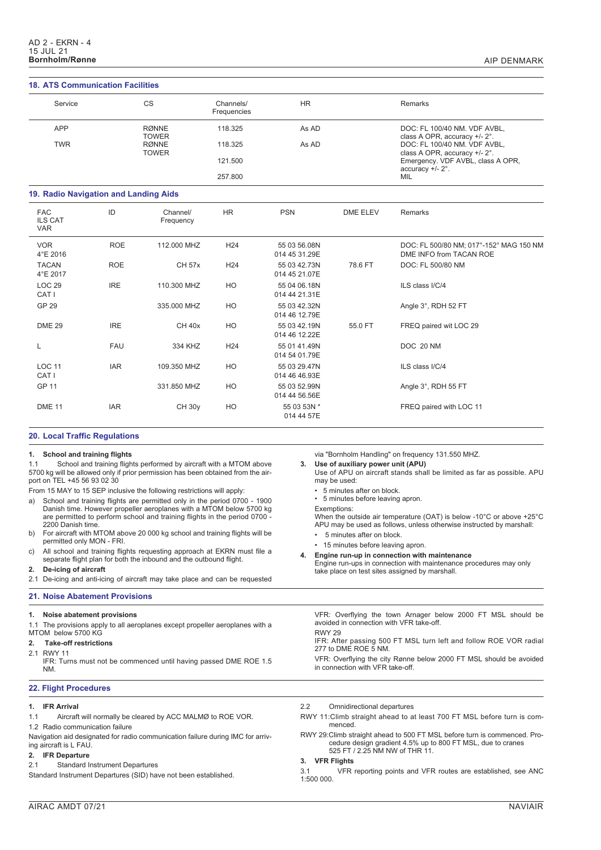## **18. ATS Communication Facilities**

| <b>18. ATS Communication Facilities</b>    |            |                              |                          |                               |                 |                                                                      |  |  |
|--------------------------------------------|------------|------------------------------|--------------------------|-------------------------------|-----------------|----------------------------------------------------------------------|--|--|
| Service                                    |            | <b>CS</b>                    | Channels/<br>Frequencies | <b>HR</b>                     |                 | Remarks                                                              |  |  |
| APP                                        |            | <b>RØNNE</b><br><b>TOWER</b> | 118.325                  | As AD                         |                 | DOC: FL 100/40 NM. VDF AVBL,<br>class A OPR, accuracy +/- 2°.        |  |  |
| <b>TWR</b>                                 |            | <b>RØNNE</b><br><b>TOWER</b> | 118.325                  | As AD                         |                 | DOC: FL 100/40 NM. VDF AVBL,<br>class A OPR, accuracy +/- 2°.        |  |  |
|                                            |            |                              | 121.500<br>257.800       |                               |                 | Emergency. VDF AVBL, class A OPR,<br>accuracy $+/- 2^\circ$ .<br>MIL |  |  |
| 19. Radio Navigation and Landing Aids      |            |                              |                          |                               |                 |                                                                      |  |  |
| <b>FAC</b><br><b>ILS CAT</b><br><b>VAR</b> | ID         | Channel/<br>Frequency        | <b>HR</b>                | <b>PSN</b>                    | <b>DME ELEV</b> | Remarks                                                              |  |  |
| <b>VOR</b><br>4°E 2016                     | <b>ROE</b> | 112,000 MHZ                  | H <sub>24</sub>          | 55 03 56.08N<br>014 45 31.29E |                 | DOC: FL 500/80 NM; 017°-152° MAG 150 NM<br>DME INFO from TACAN ROE   |  |  |
| <b>TACAN</b><br>4°E 2017                   | <b>ROE</b> | <b>CH 57x</b>                | H <sub>24</sub>          | 55 03 42.73N<br>014 45 21.07E | 78.6 FT         | DOC: FL 500/80 NM                                                    |  |  |
| <b>LOC 29</b><br>CAT I                     | <b>IRE</b> | 110,300 MHZ                  | HO                       | 55 04 06.18N<br>014 44 21.31E |                 | ILS class I/C/4                                                      |  |  |
| GP 29                                      |            | 335,000 MHZ                  | HO                       | 55 03 42.32N<br>014 46 12.79E |                 | Angle 3°, RDH 52 FT                                                  |  |  |
| <b>DME 29</b>                              | <b>IRE</b> | <b>CH 40x</b>                | HO                       | 55 03 42.19N<br>014 46 12.22E | 55.0 FT         | FREQ paired wit LOC 29                                               |  |  |
| L                                          | <b>FAU</b> | 334 KHZ                      | H <sub>24</sub>          | 55 01 41.49N<br>014 54 01.79E |                 | DOC 20 NM                                                            |  |  |
| <b>LOC 11</b><br>CAT <sub>I</sub>          | <b>IAR</b> | 109.350 MHZ                  | HO                       | 55 03 29.47N<br>014 46 46.93E |                 | ILS class I/C/4                                                      |  |  |
| <b>GP 11</b>                               |            | 331.850 MHZ                  | HO                       | 55 03 52.99N<br>014 44 56.56E |                 | Angle 3°, RDH 55 FT                                                  |  |  |
| DME <sub>11</sub>                          | <b>IAR</b> | <b>CH 30y</b>                | HO                       | 55 03 53N *<br>014 44 57E     |                 | FREQ paired with LOC 11                                              |  |  |

## **20. Local Traffic Regulations**

**1. School and training flights** School and training flights performed by aircraft with a MTOM above 5700 kg will be allowed only if prior permission has been obtained from the airport on TEL +45 56 93 02 30 From 15 MAY to 15 SEP inclusive the following restrictions will apply: a) School and training flights are permitted only in the period 0700 - 1900 Danish time. However propeller aeroplanes with a MTOM below 5700 kg are permitted to perform school and training flights in the period 0700 - 2200 Danish time. b) For aircraft with MTOM above 20 000 kg school and training flights will be permitted only MON - FRI. c) All school and training flights requesting approach at EKRN must file a separate flight plan for both the inbound and the outbound flight. **2. De-icing of aircraft** 2.1 De-icing and anti-icing of aircraft may take place and can be requested via "Bornholm Handling" on frequency 131.550 MHZ. **3. Use of auxiliary power unit (APU)** Use of APU on aircraft stands shall be limited as far as possible. APU may be used: • 5 minutes after on block. • 5 minutes before leaving apron. Exemptions: When the outside air temperature (OAT) is below -10°C or above +25°C APU may be used as follows, unless otherwise instructed by marshall: • 5 minutes after on block. • 15 minutes before leaving apron. **4. Engine run-up in connection with maintenance** Engine run-ups in connection with maintenance procedures may only take place on test sites assigned by marshall. **21. Noise Abatement Provisions 1. Noise abatement provisions** 1.1 The provisions apply to all aeroplanes except propeller aeroplanes with a MTOM below 5700 KG **2. Take-off restrictions** 2.1 RWY 11 IFR: Turns must not be commenced until having passed DME ROE 1.5 NM. VFR: Overflying the town Arnager below 2000 FT MSL should be avoided in connection with VFR take-off. RWY 29 IFR: After passing 500 FT MSL turn left and follow ROE VOR radial 277 to DME ROE 5 NM. VFR: Overflying the city Rønne below 2000 FT MSL should be avoided in connection with VFR take-off. **22. Flight Procedures 1. IFR Arrival** 1.1 Aircraft will normally be cleared by ACC MALMØ to ROE VOR. 1.2 Radio communication failure Navigation aid designated for radio communication failure during IMC for arriving aircraft is L FAU. 2.2 Omnidirectional departures RWY 11:Climb straight ahead to at least 700 FT MSL before turn is commenced. RWY 29:Climb straight ahead to 500 FT MSL before turn is commenced. Procedure design gradient 4.5% up to 800 FT MSL, due to cranes 525 FT / 2.25 NM NW of THR 11.

### **3. VFR Flights**

3.1 VFR reporting points and VFR routes are established, see ANC 1:500 000.

## **2. IFR Departure**

2.1 Standard Instrument Departures

Standard Instrument Departures (SID) have not been established.